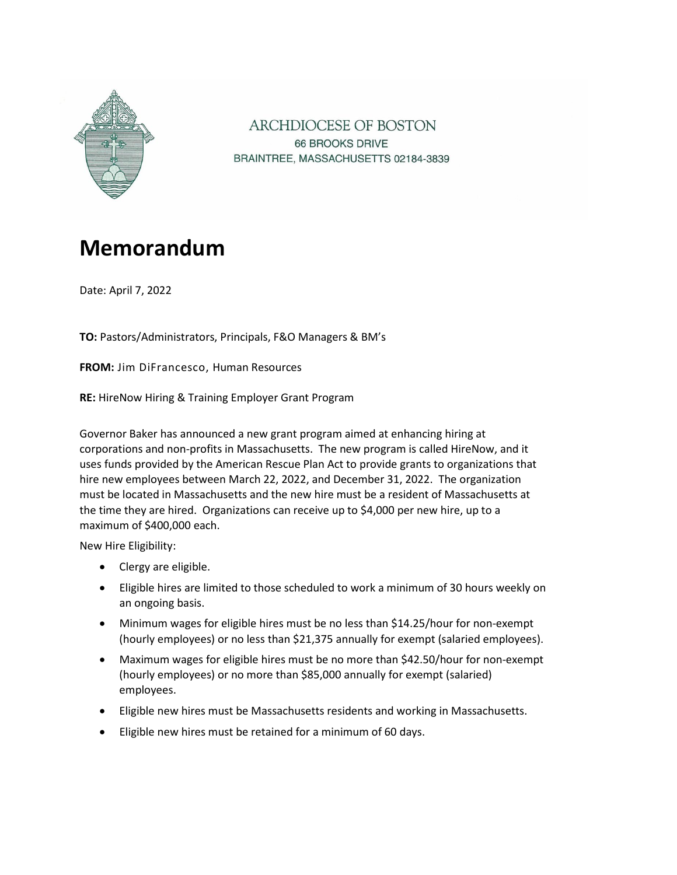

ARCHDIOCESE OF BOSTON 66 BROOKS DRIVE BRAINTREE, MASSACHUSETTS 02184-3839

# **Memorandum**

Date: April 7, 2022

**TO:** Pastors/Administrators, Principals, F&O Managers & BM's

**FROM:** Jim DiFrancesco, Human Resources

**RE:** HireNow Hiring & Training Employer Grant Program

Governor Baker has announced a new grant program aimed at enhancing hiring at corporations and non-profits in Massachusetts. The new program is called HireNow, and it uses funds provided by the American Rescue Plan Act to provide grants to organizations that hire new employees between March 22, 2022, and December 31, 2022. The organization must be located in Massachusetts and the new hire must be a resident of Massachusetts at the time they are hired. Organizations can receive up to \$4,000 per new hire, up to a maximum of \$400,000 each.

New Hire Eligibility:

- Clergy are eligible.
- Eligible hires are limited to those scheduled to work a minimum of 30 hours weekly on an ongoing basis.
- Minimum wages for eligible hires must be no less than \$14.25/hour for non-exempt (hourly employees) or no less than \$21,375 annually for exempt (salaried employees).
- Maximum wages for eligible hires must be no more than \$42.50/hour for non-exempt (hourly employees) or no more than \$85,000 annually for exempt (salaried) employees.
- Eligible new hires must be Massachusetts residents and working in Massachusetts.
- Eligible new hires must be retained for a minimum of 60 days.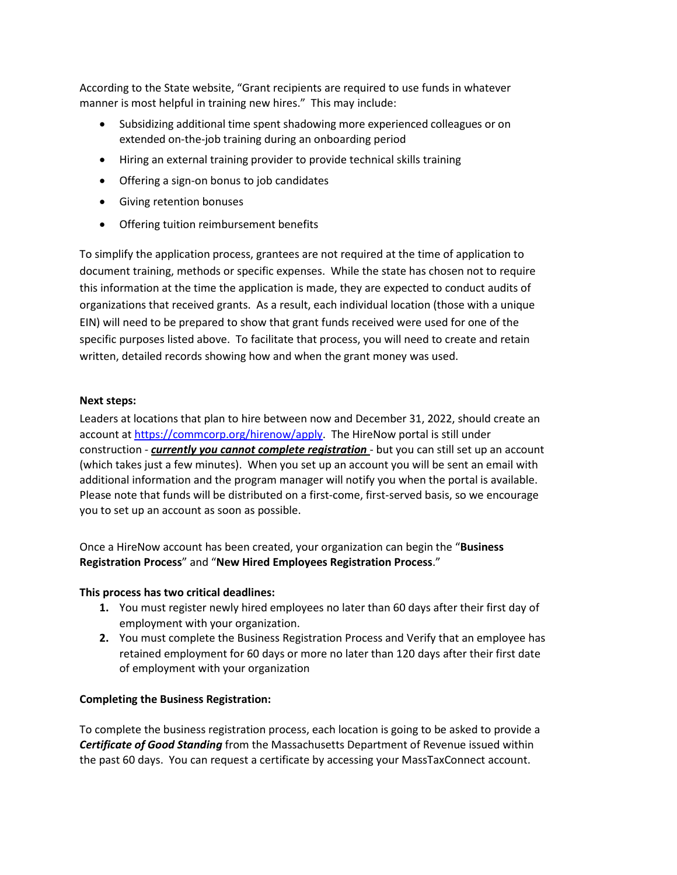According to the State website, "Grant recipients are required to use funds in whatever manner is most helpful in training new hires." This may include:

- Subsidizing additional time spent shadowing more experienced colleagues or on extended on-the-job training during an onboarding period
- Hiring an external training provider to provide technical skills training
- Offering a sign-on bonus to job candidates
- Giving retention bonuses
- Offering tuition reimbursement benefits

To simplify the application process, grantees are not required at the time of application to document training, methods or specific expenses. While the state has chosen not to require this information at the time the application is made, they are expected to conduct audits of organizations that received grants. As a result, each individual location (those with a unique EIN) will need to be prepared to show that grant funds received were used for one of the specific purposes listed above. To facilitate that process, you will need to create and retain written, detailed records showing how and when the grant money was used.

#### **Next steps:**

Leaders at locations that plan to hire between now and December 31, 2022, should create an account a[t https://commcorp.org/hirenow/apply.](https://commcorp.org/hirenow/apply) The HireNow portal is still under construction - *currently [you cannot complete re](https://commcorp.org/hirenow/apply/)gistration* - but you can still set up an account (which takes just a few minutes). When you set up an account you will be sent an email with additional information and the program manager will notify you when the portal is available. Please note that funds will be distributed on a first-come, first-served basis, so we encourage you to set up an account as soon as possible.

Once a HireNow account has been created, your organization can begin the "**Business Registration Process**" and "**New Hired Employees Registration Process**."

#### **This process has two critical deadlines:**

- **1.** You must register newly hired employees no later than 60 days after their first day of employment with your organization.
- **2.** You must complete the Business Registration Process and Verify that an employee has retained employment for 60 days or more no later than 120 days after their first date of employment with your organization

#### **Completing the Business Registration:**

To complete the business registration process, each location is going to be asked to provide a *Certificate of Good Standing* from the Massachusetts Department of Revenue issued within the past 60 days. You can request a certificate by accessing your MassTaxConnect account.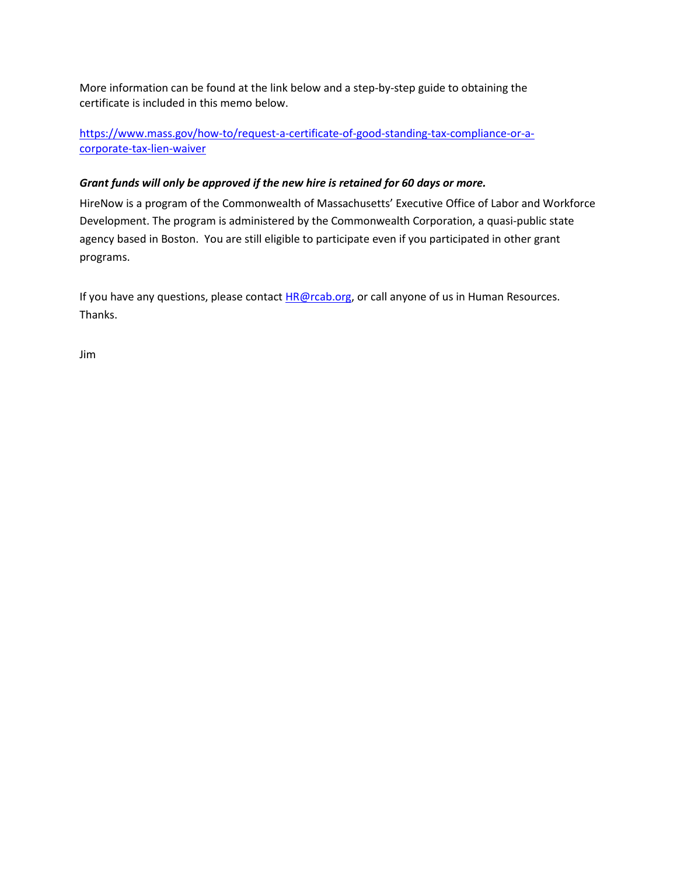More information can be found at the link below and a step-by-step guide to obtaining the certificate is included in this memo below.

[https://www.mass.gov/how-to/request-a-certificate-of-good-standing-tax-compliance-or-a](https://www.mass.gov/how-to/request-a-certificate-of-good-standing-tax-compliance-or-a-corporate-tax-lien-waiver)[corporate-tax-lien-waiver](https://www.mass.gov/how-to/request-a-certificate-of-good-standing-tax-compliance-or-a-corporate-tax-lien-waiver)

## *[Grant funds will only be approved if the new hire is retain](https://www.mass.gov/how-to/request-a-certificate-of-good-standing-tax-compliance-or-a-corporate-tax-lien-waiver)ed for 60 days or more.*

HireNow is a program of the Commonwealth of Massachusetts' Executive Office of Labor and Workforce Development. The program is administered by the Commonwealth Corporation, a quasi-public state agency based in Boston. You are still eligible to participate even if you participated in other grant programs.

If you have any questions, please contact **HR@rcab.org**, or call anyone of us in Human Resources. Thanks.

Jim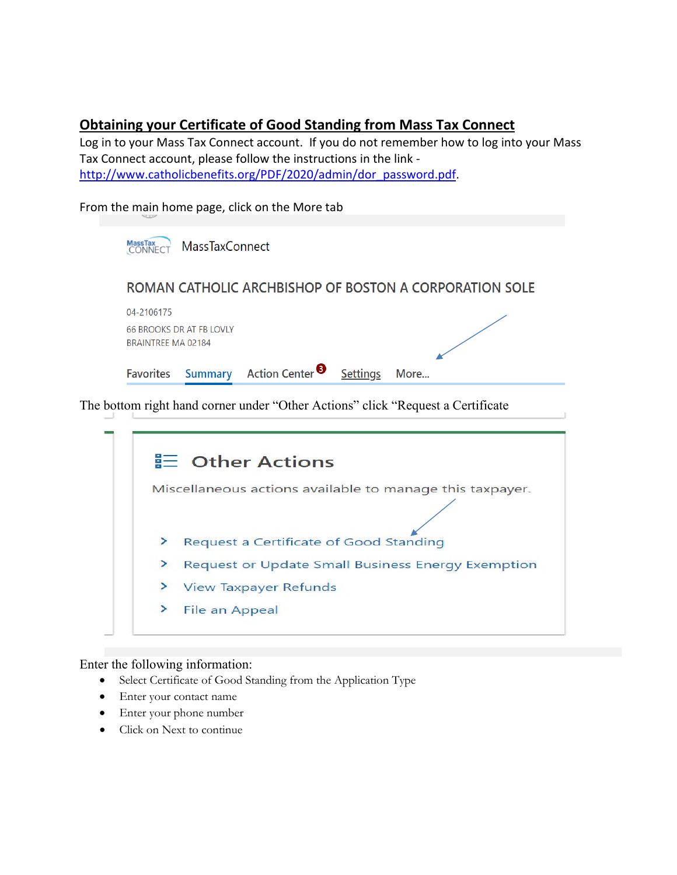# **Obtaining your Certificate of Good Standing from Mass Tax Connect**

Log in to your Mass Tax Connect account. If you do not remember how to log into your Mass Tax Connect account, please follow the instructions in the link [http://www.catholicbenefits.org/PDF/2020/admin/dor\\_password.pdf.](http://www.catholicbenefits.org/PDF/2020/admin/dor_password.pdf)

From the main home page, click on the More tab

| 04-2106175                |                                 |                            |                 | ROMAN CATHOLIC ARCHBISHOP OF BOSTON A CORPORATION SOLE |
|---------------------------|---------------------------------|----------------------------|-----------------|--------------------------------------------------------|
| <b>BRAINTREE MA 02184</b> | <b>66 BROOKS DR AT FB LOVLY</b> |                            |                 |                                                        |
| <b>Favorites</b>          | <b>Summary</b>                  | Action Center <sup>8</sup> | <b>Settings</b> | More                                                   |

Miscellaneous actions available to manage this taxpayer.

- > Request a Certificate of Good Standing
- > Request or Update Small Business Energy Exemption
- $\geq$ **View Taxpayer Refunds**
- ≻ File an Appeal

## Enter the following information:

- Select Certificate of Good Standing from the Application Type
- Enter your contact name
- Enter your phone number
- Click on Next to continue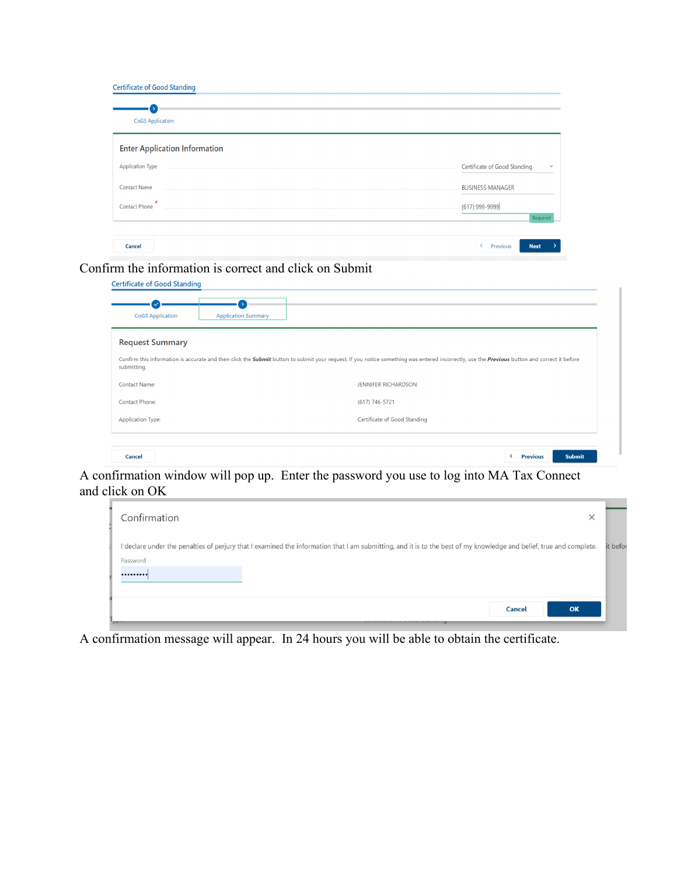| <b>CoGS Application</b><br><b>Enter Application Information</b><br><b>Application Type</b><br>Certificate of Good Standing<br><b>Contact Name</b><br><b>BUSINESS MANAGER</b> |          |
|------------------------------------------------------------------------------------------------------------------------------------------------------------------------------|----------|
|                                                                                                                                                                              |          |
|                                                                                                                                                                              |          |
|                                                                                                                                                                              |          |
| <b>M</b><br><b>Contact Phone</b><br>(617) 999-9999                                                                                                                           | Required |

Confirm the information is correct and click on Submit

| <b>CoGS</b> Application | <b>Application Summary</b>                                                                                                                                                                   |
|-------------------------|----------------------------------------------------------------------------------------------------------------------------------------------------------------------------------------------|
| <b>Request Summary</b>  |                                                                                                                                                                                              |
| submitting.             | Confirm this information is accurate and then click the Submit button to submit your request. If you notice something was entered incorrectly, use the Previous button and correct it before |
| <b>Contact Name:</b>    | <b>JENNIFER RICHARDSON</b>                                                                                                                                                                   |
|                         | (617) 746-5721                                                                                                                                                                               |
| Contact Phone:          |                                                                                                                                                                                              |

A confirmation window will pop up. Enter the password you use to log into MA Tax Connect and click on OK

| Confirmation<br>$\times$                                                                                                                                                        |          |
|---------------------------------------------------------------------------------------------------------------------------------------------------------------------------------|----------|
| I declare under the penalties of perjury that I examined the information that I am submitting, and it is to the best of my knowledge and belief, true and complete.<br>Password | it befor |
| <br>OK<br>Cancel                                                                                                                                                                |          |
| <b>SOFT</b>                                                                                                                                                                     |          |

A confirmation message will appear. In 24 hours you will be able to obtain the certificate.